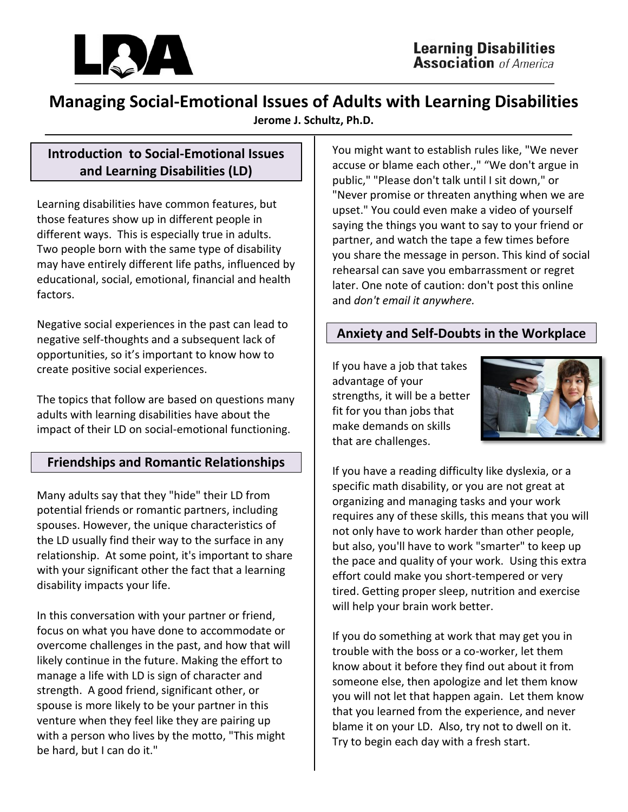

# **Managing Social-Emotional Issues of Adults with Learning Disabilities**

**Jerome J. Schultz, Ph.D.**

# **Introduction to Social-Emotional Issues and Learning Disabilities (LD)**

Learning disabilities have common features, but those features show up in different people in different ways. This is especially true in adults. Two people born with the same type of disability may have entirely different life paths, influenced by educational, social, emotional, financial and health factors.

Negative social experiences in the past can lead to negative self-thoughts and a subsequent lack of opportunities, so it's important to know how to create positive social experiences.

The topics that follow are based on questions many adults with learning disabilities have about the impact of their LD on social-emotional functioning.

# **Friendships and Romantic Relationships**

Many adults say that they "hide" their LD from potential friends or romantic partners, including spouses. However, the unique characteristics of the LD usually find their way to the surface in any relationship. At some point, it's important to share with your significant other the fact that a learning disability impacts your life.

In this conversation with your partner or friend, focus on what you have done to accommodate or overcome challenges in the past, and how that will likely continue in the future. Making the effort to manage a life with LD is sign of character and strength. A good friend, significant other, or spouse is more likely to be your partner in this venture when they feel like they are pairing up with a person who lives by the motto, "This might be hard, but I can do it."

You might want to establish rules like, "We never accuse or blame each other.," "We don't argue in public," "Please don't talk until I sit down," or "Never promise or threaten anything when we are upset." You could even make a video of yourself saying the things you want to say to your friend or partner, and watch the tape a few times before you share the message in person. This kind of social rehearsal can save you embarrassment or regret later. One note of caution: don't post this online and *don't email it anywhere.*

## **Anxiety and Self-Doubts in the Workplace**

If you have a job that takes advantage of your strengths, it will be a better fit for you than jobs that make demands on skills that are challenges.



If you have a reading difficulty like dyslexia, or a specific math disability, or you are not great at organizing and managing tasks and your work requires any of these skills, this means that you will not only have to work harder than other people, but also, you'll have to work "smarter" to keep up the pace and quality of your work. Using this extra effort could make you short-tempered or very tired. Getting proper sleep, nutrition and exercise will help your brain work better.

If you do something at work that may get you in trouble with the boss or a co-worker, let them know about it before they find out about it from someone else, then apologize and let them know you will not let that happen again. Let them know that you learned from the experience, and never blame it on your LD. Also, try not to dwell on it. Try to begin each day with a fresh start.